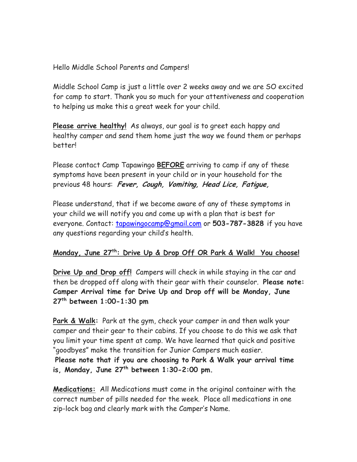Hello Middle School Parents and Campers!

Middle School Camp is just a little over 2 weeks away and we are SO excited for camp to start. Thank you so much for your attentiveness and cooperation to helping us make this a great week for your child.

**Please arrive healthy!** As always, our goal is to greet each happy and healthy camper and send them home just the way we found them or perhaps better!

Please contact Camp Tapawingo **BEFORE** arriving to camp if any of these symptoms have been present in your child or in your household for the previous 48 hours: **Fever, Cough, Vomiting, Head Lice, Fatigue,** 

Please understand, that if we become aware of any of these symptoms in your child we will notify you and come up with a plan that is best for everyone. Contact: tapawingocamp@gmail.com or **503-787-3828** if you have any questions regarding your child's health.

## **Monday, June 27th: Drive Up & Drop Off OR Park & Walk! You choose!**

**Drive Up and Drop off!** Campers will check in while staying in the car and then be dropped off along with their gear with their counselor. **Please note: Camper Arrival time for Drive Up and Drop off will be Monday, June 27th between 1:00-1:30 pm** 

**Park & Walk:** Park at the gym, check your camper in and then walk your camper and their gear to their cabins. If you choose to do this we ask that you limit your time spent at camp. We have learned that quick and positive "goodbyes" make the transition for Junior Campers much easier.

**Please note that if you are choosing to Park & Walk your arrival time is, Monday, June 27th between 1:30-2:00 pm.** 

**Medications:** All Medications must come in the original container with the correct number of pills needed for the week. Place all medications in one zip-lock bag and clearly mark with the Camper's Name.